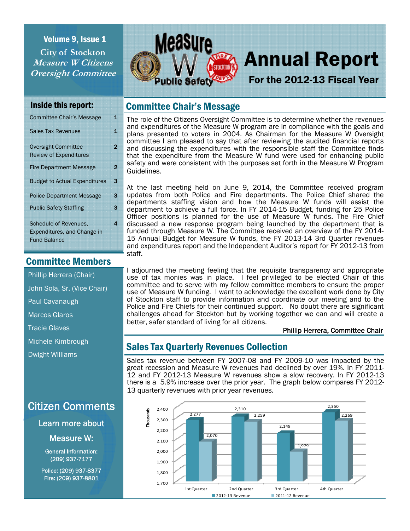## Volume 9, Issue 1 **City of Stockton Measure W Citizens Oversight Committee**



# Annual Report

For the 2012-13 Fiscal Year

#### Inside this report:

| <b>Committee Chair's Message</b>                                                   | 1 |
|------------------------------------------------------------------------------------|---|
| <b>Sales Tax Revenues</b>                                                          | 1 |
| <b>Oversight Committee</b><br><b>Review of Expenditures</b>                        | 2 |
| <b>Fire Department Message</b>                                                     | 2 |
| <b>Budget to Actual Expenditures</b>                                               | 3 |
| <b>Police Department Message</b>                                                   | 3 |
| <b>Public Safety Staffing</b>                                                      | 3 |
| <b>Schedule of Revenues.</b><br>Expenditures, and Change in<br><b>Fund Balance</b> | 4 |

# Committee Members

Phillip Herrera (Chair)

John Sola, Sr. (Vice Chair)

Paul Cavanaugh

Marcos Glaros

Tracie Glaves

Michele Kimbrough

Dwight Williams

# Citizen Comments

Learn more about

Measure W:

General Information: (209) 937-7177

Police: (209) 937-8377 Fire: (209) 937-8801

# Committee Chair's Message

The role of the Citizens Oversight Committee is to determine whether the revenues and expenditures of the Measure W program are in compliance with the goals and plans presented to voters in 2004. As Chairman for the Measure W Oversight committee I am pleased to say that after reviewing the audited financial reports and discussing the expenditures with the responsible staff the Committee finds that the expenditure from the Measure W fund were used for enhancing public safety and were consistent with the purposes set forth in the Measure W Program Guidelines.

At the last meeting held on June 9, 2014, the Committee received program updates from both Police and Fire departments. The Police Chief shared the departments staffing vision and how the Measure W funds will assist the department to achieve a full force. In FY 2014-15 Budget, funding for 25 Police Officer positions is planned for the use of Measure W funds. The Fire Chief discussed a new response program being launched by the department that is funded through Measure W. The Committee received an overview of the FY 2014- 15 Annual Budget for Measure W funds, the FY 2013-14 3rd Quarter revenues and expenditures report and the Independent Auditor's report for FY 2012-13 from staff.

I adjourned the meeting feeling that the requisite transparency and appropriate use of tax monies was in place. I feel privileged to be elected Chair of this committee and to serve with my fellow committee members to ensure the proper use of Measure W funding. I want to acknowledge the excellent work done by City of Stockton staff to provide information and coordinate our meeting and to the Police and Fire Chiefs for their continued support. No doubt there are significant challenges ahead for Stockton but by working together we can and will create a better, safer standard of living for all citizens.

#### Phillip Herrera, Committee Chair

# Sales Tax Quarterly Revenues Collection

Sales tax revenue between FY 2007-08 and FY 2009-10 was impacted by the great recession and Measure W revenues had declined by over 19%. In FY 2011-12 and FY 2012-13 Measure W revenues show a slow recovery. In FY 2012-13 there is a 5.9% increase over the prior year. The graph below compares FY 2012- 13 quarterly revenues with prior year revenues.

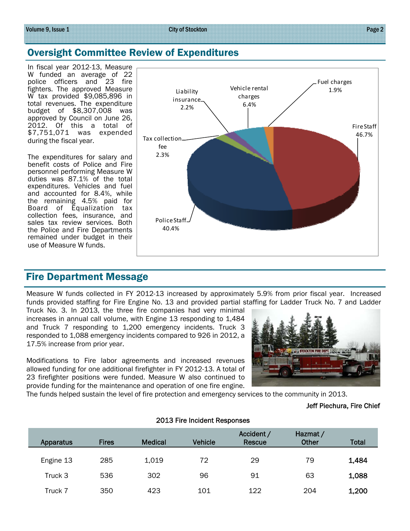#### Volume 9, Issue 1

### Oversight Committee Review of Expenditures

In fiscal year 2012-13, Measure W funded an average of 22 police officers and 23 fire fighters. The approved Measure W tax provided \$9,085,896 in total revenues. The expenditure budget of \$8,307,008 was approved by Council on June 26, 2012. Of this a total of \$7,751,071 was expended during the fiscal year.

The expenditures for salary and benefit costs of Police and Fire personnel performing Measure W duties was 87.1% of the total expenditures. Vehicles and fuel and accounted for 8.4%, while the remaining 4.5% paid for Board of Equalization tax collection fees, insurance, and sales tax review services. Both the Police and Fire Departments remained under budget in their use of Measure W funds.



#### Fire Department Message

Measure W funds collected in FY 2012-13 increased by approximately 5.9% from prior fiscal year. Increased funds provided staffing for Fire Engine No. 13 and provided partial staffing for Ladder Truck No. 7 and Ladder

Truck No. 3. In 2013, the three fire companies had very minimal increases in annual call volume, with Engine 13 responding to 1,484 and Truck 7 responding to 1,200 emergency incidents. Truck 3 responded to 1,088 emergency incidents compared to 926 in 2012, a 17.5% increase from prior year.

Modifications to Fire labor agreements and increased revenues allowed funding for one additional firefighter in FY 2012-13. A total of 23 firefighter positions were funded. Measure W also continued to provide funding for the maintenance and operation of one fire engine.



The funds helped sustain the level of fire protection and emergency services to the community in 2013.

#### Jeff Piechura, Fire Chief

| Apparatus | <b>Fires</b> | <b>Medical</b> | <b>Vehicle</b> | Accident /<br>Rescue | Hazmat /<br><b>Other</b> | <b>Total</b> |
|-----------|--------------|----------------|----------------|----------------------|--------------------------|--------------|
| Engine 13 | 285          | 1,019          | 72             | 29                   | 79                       | 1,484        |
| Truck 3   | 536          | 302            | 96             | 91                   | 63                       | 1,088        |
| Truck 7   | 350          | 423            | 101            | 122                  | 204                      | 1,200        |

#### 2013 Fire Incident Responses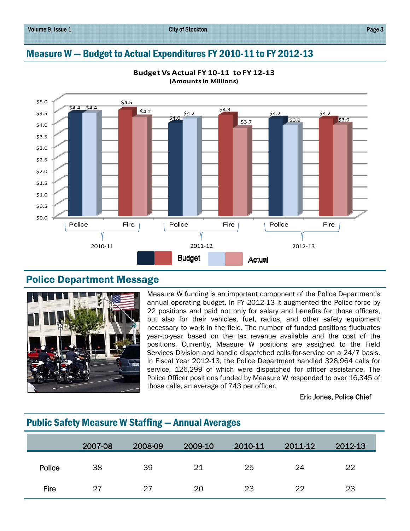# Measure W — Budget to Actual Expenditures FY 2010-11 to FY 2012-13



**Budget Vs Actual FY 10‐11 to FY 12‐13 (Amountsin Millions)**

#### Police Department Message



Measure W funding is an important component of the Police Department's annual operating budget. In FY 2012-13 it augmented the Police force by 22 positions and paid not only for salary and benefits for those officers, but also for their vehicles, fuel, radios, and other safety equipment necessary to work in the field. The number of funded positions fluctuates year-to-year based on the tax revenue available and the cost of the positions. Currently, Measure W positions are assigned to the Field Services Division and handle dispatched calls-for-service on a 24/7 basis. In Fiscal Year 2012-13, the Police Department handled 328,964 calls for service, 126,299 of which were dispatched for officer assistance. The Police Officer positions funded by Measure W responded to over 16,345 of those calls, an average of 743 per officer.

#### Eric Jones, Police Chief

#### Public Safety Measure W Staffing — Annual Averages

|             | 2007-08 | 2008-09 | 2009-10 | 2010-11 | 2011-12 | 2012-13 |
|-------------|---------|---------|---------|---------|---------|---------|
| Police      | 38      | 39      | 21      | 25      | 24      | 22      |
| <b>Fire</b> | 27      | 27      | 20      | 23      | 22      | 23      |